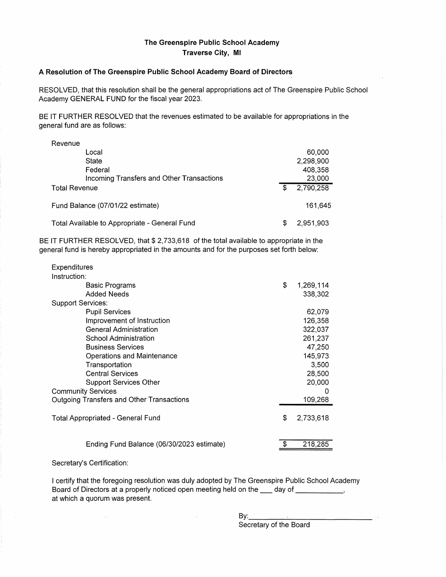## **The Greenspire Public School Academy Traverse City, Ml**

## **A Resolution of The Greenspire Public School Academy Board of Directors**

RESOLVED, that this resolution shall be the general appropriations act of The Greenspire Public School Academy GENERAL FUND for the fiscal year 2023.

BE IT FURTHER RESOLVED that the revenues estimated to be available for appropriations in the general fund are as follows:

| Revenue                                       |     |           |
|-----------------------------------------------|-----|-----------|
| Local                                         |     | 60,000    |
| State                                         |     | 2,298,900 |
| Federal                                       |     | 408,358   |
| Incoming Transfers and Other Transactions     |     | 23,000    |
| <b>Total Revenue</b>                          | \$  | 2,790,258 |
| Fund Balance (07/01/22 estimate)              |     | 161.645   |
| Total Available to Appropriate - General Fund | \$. | 2,951,903 |

BE IT FURTHER RESOLVED, that \$ 2,733,618 of the total available to appropriate in the general fund is hereby appropriated in the amounts and for the purposes set forth below:

| <b>Expenditures</b>                       |                 |
|-------------------------------------------|-----------------|
| Instruction:                              |                 |
| Basic Programs                            | \$<br>1,269,114 |
| <b>Added Needs</b>                        | 338,302         |
| <b>Support Services:</b>                  |                 |
| <b>Pupil Services</b>                     | 62,079          |
| Improvement of Instruction                | 126,358         |
| <b>General Administration</b>             | 322,037         |
| School Administration                     | 261,237         |
| <b>Business Services</b>                  | 47,250          |
| Operations and Maintenance                | 145,973         |
| Transportation                            | 3,500           |
| <b>Central Services</b>                   | 28,500          |
| Support Services Other                    | 20,000          |
| <b>Community Services</b>                 | O               |
| Outgoing Transfers and Other Transactions | 109,268         |
|                                           |                 |
| <b>Total Appropriated - General Fund</b>  | \$<br>2,733,618 |
|                                           |                 |
| Ending Fund Balance (06/30/2023 estimate) | 218,285         |
|                                           |                 |

## Secretary's Certification:

 $\mathcal{A}^{\mathcal{A}}$ 

I certify that the foregoing resolution was duly adopted by The Greenspire Public School Academy Board of Directors at a properly noticed open meeting held on the same day of succession of  $\sim$ at which a quorum was present.

By: \_\_\_\_\_\_\_\_\_\_\_ \_

Secretary of the Board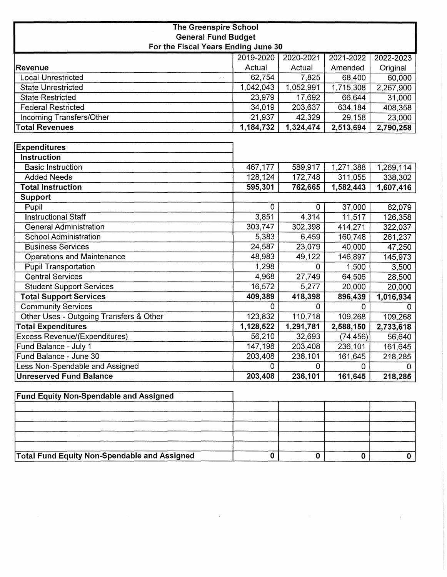| <b>The Greenspire School</b>        |  |  |  |  |
|-------------------------------------|--|--|--|--|
| <b>General Fund Budget</b>          |  |  |  |  |
| For the Fiscal Years Ending June 30 |  |  |  |  |

|                                            | 2019-2020   | 2020-2021   | 2021-2022   | 2022-2023 |
|--------------------------------------------|-------------|-------------|-------------|-----------|
| <b>Revenue</b>                             | Actual      | Actual      | Amended     | Original  |
| <b>Local Unrestricted</b><br>$\sim$ $\sim$ | 62,754      | 7,825       | 68,400      | 60,000    |
| <b>State Unrestricted</b>                  | 1,042,043   | 1,052,991   | 1,715,308   | 2,267,900 |
| <b>State Restricted</b>                    | 23,979      | 17,692      | 66,644      | 31,000    |
| <b>Federal Restricted</b>                  | 34,019      | 203,637     | 634,184     | 408,358   |
| <b>Incoming Transfers/Other</b>            | 21,937      | 42,329      | 29,158      | 23,000    |
| <b>Total Revenues</b>                      | 1,184,732   | 1,324,474   | 2,513,694   | 2,790,258 |
|                                            |             |             |             |           |
| <b>Expenditures</b>                        |             |             |             |           |
| Instruction                                |             |             |             |           |
| <b>Basic Instruction</b>                   | 467,177     | 589,917     | 1,271,388   | 1,269,114 |
| <b>Added Needs</b>                         | 128,124     | 172,748     | 311,055     | 338,302   |
| <b>Total Instruction</b>                   | 595,301     | 762,665     | 1,582,443   | 1,607,416 |
| <b>Support</b>                             |             |             |             |           |
| Pupil                                      | 0           | $\mathbf 0$ | 37,000      | 62,079    |
| <b>Instructional Staff</b>                 | 3,851       | 4,314       | 11,517      | 126,358   |
| <b>General Administration</b>              | 303,747     | 302,398     | 414,271     | 322,037   |
| <b>School Administration</b>               | 5,383       | 6,459       | 160,748     | 261,237   |
| <b>Business Services</b>                   | 24,587      | 23,079      | 40,000      | 47,250    |
| <b>Operations and Maintenance</b>          | 48,983      | 49,122      | 146,897     | 145,973   |
| <b>Pupil Transportation</b>                | 1,298       | 0           | 1,500       | 3,500     |
| <b>Central Services</b>                    | 4,968       | 27,749      | 64,506      | 28,500    |
| <b>Student Support Services</b>            | 16,572      | 5,277       | 20,000      | 20,000    |
| <b>Total Support Services</b>              | 409,389     | 418,398     | 896,439     | 1,016,934 |
| <b>Community Services</b>                  | $\mathbf 0$ | 0           | $\mathbf 0$ | 0         |
| Other Uses - Outgoing Transfers & Other    | 123,832     | 110,718     | 109,268     | 109,268   |
| <b>Total Expenditures</b>                  | 1,128,522   | 1,291,781   | 2,588,150   | 2,733,618 |
| <b>Excess Revenue/(Expenditures)</b>       | 56,210      | 32,693      | (74, 456)   | 56,640    |
| Fund Balance - July 1                      | 147,198     | 203,408     | 236,101     | 161,645   |
| Fund Balance - June 30                     | 203,408     | 236,101     | 161,645     | 218,285   |
| Less Non-Spendable and Assigned            | 0           | 0           | $\mathbf 0$ | 0         |
| <b>Unreserved Fund Balance</b>             | 203,408     | 236,101     | 161,645     | 218,285   |

| <b>Fund Equity Non-Spendable and Assigned</b>       |  |  |
|-----------------------------------------------------|--|--|
|                                                     |  |  |
|                                                     |  |  |
|                                                     |  |  |
|                                                     |  |  |
|                                                     |  |  |
| <b>Total Fund Equity Non-Spendable and Assigned</b> |  |  |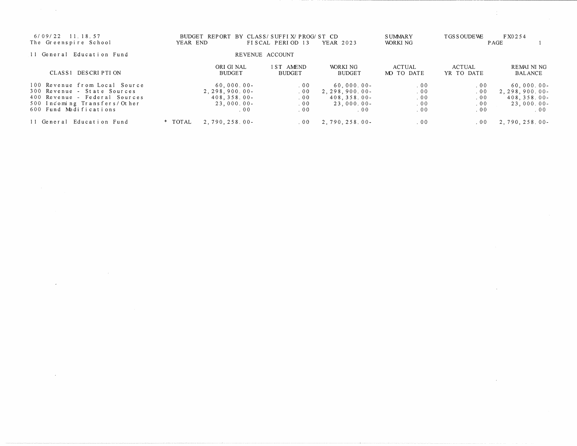| 11.18.57<br>6/09/22<br>The Greenspire School                                                                                                            | <b>BUDGET</b><br>YEAR END                                                | REPORT BY CLASS/SUFFIX/PROG/ST CD<br>FISCAL PERIOD 13 | <b>YEAR 2023</b>                                                               | <b>SUMMARY</b><br>WORKI NG                  | TGS SOUDE WE                    | FX0254<br>P AGE                                                             |
|---------------------------------------------------------------------------------------------------------------------------------------------------------|--------------------------------------------------------------------------|-------------------------------------------------------|--------------------------------------------------------------------------------|---------------------------------------------|---------------------------------|-----------------------------------------------------------------------------|
| 11 General Education Fund                                                                                                                               |                                                                          | REVENUE ACCOUNT                                       |                                                                                |                                             |                                 |                                                                             |
| CLASS1 DESCRIPTION                                                                                                                                      | ORI GI NAL<br><b>BUDGET</b>                                              | 1 ST AMEND<br><b>BUDGET</b>                           | WORKI NG<br><b>BUDGET</b>                                                      | <b>ACTUAL</b><br>MO TO DATE                 | <b>ACTUAL</b><br>YR TO DATE     | <b>REMAI NI NG</b><br><b>BALANCE</b>                                        |
| 100 Revenue from Local Source<br>300 Revenue - State Sources<br>400 Revenue - Federal Sources<br>500 Incoming Transfers/Other<br>600 Fund Modifications | 60,000.00<br>$2, 298, 900, 00$ -<br>$408, 358, 00 -$<br>23,000.00<br>00. | .00<br>.00<br>.00<br>.00<br>.00                       | 60,000.00<br>2, 298, 900, 00<br>$408.358.00 -$<br>23.000.00<br>00 <sup>o</sup> | 00 <sub>0</sub><br>.00<br>.00<br>.00<br>.00 | .00<br>.00<br>.00<br>.00<br>.00 | $60,000,00-$<br>2, 298, 900, 00<br>$408, 358, 00 -$<br>$23,000,00$ -<br>.00 |
| 11 General Education Fund                                                                                                                               | * TOTAL<br>$2,790,258.00-$                                               | . 00                                                  | 2.790.258.00-                                                                  | .00                                         | .00                             | $2,790,258.00-$                                                             |

 $\label{eq:2.1} \frac{1}{\sqrt{2}}\int_{\mathbb{R}^3} \frac{1}{\sqrt{2}}\left(\frac{1}{\sqrt{2}}\right)^2\left(\frac{1}{\sqrt{2}}\right)^2\left(\frac{1}{\sqrt{2}}\right)^2\left(\frac{1}{\sqrt{2}}\right)^2.$ 

 $\label{eq:2.1} \mathcal{L}(\mathcal{L}^{\text{max}}_{\mathcal{L}}(\mathcal{L}^{\text{max}}_{\mathcal{L}})) \leq \mathcal{L}(\mathcal{L}^{\text{max}}_{\mathcal{L}}(\mathcal{L}^{\text{max}}_{\mathcal{L}}))$ 

 $\mathcal{A}^{\mathcal{A}}$ 

 $\mathcal{L}(\mathcal{L}(\mathcal{L}(\mathcal{L}(\mathcal{L}(\mathcal{L}(\mathcal{L}(\mathcal{L}(\mathcal{L}(\mathcal{L}(\mathcal{L}(\mathcal{L}(\mathcal{L}(\mathcal{L}(\mathcal{L}(\mathcal{L}(\mathcal{L}(\mathcal{L}(\mathcal{L}(\mathcal{L}(\mathcal{L}(\mathcal{L}(\mathcal{L}(\mathcal{L}(\mathcal{L}(\mathcal{L}(\mathcal{L}(\mathcal{L}(\mathcal{L}(\mathcal{L}(\mathcal{L}(\mathcal{L}(\mathcal{L}(\mathcal{L}(\mathcal{L}(\mathcal{L}(\mathcal{$ 

 $\label{eq:2.1} \mathcal{L}(\mathcal{L}^{\mathcal{L}}_{\mathcal{L}}(\mathcal{L}^{\mathcal{L}}_{\mathcal{L}})) = \mathcal{L}(\mathcal{L}^{\mathcal{L}}_{\mathcal{L}}(\mathcal{L}^{\mathcal{L}}_{\mathcal{L}})) = \mathcal{L}(\mathcal{L}^{\mathcal{L}}_{\mathcal{L}}(\mathcal{L}^{\mathcal{L}}_{\mathcal{L}}))$